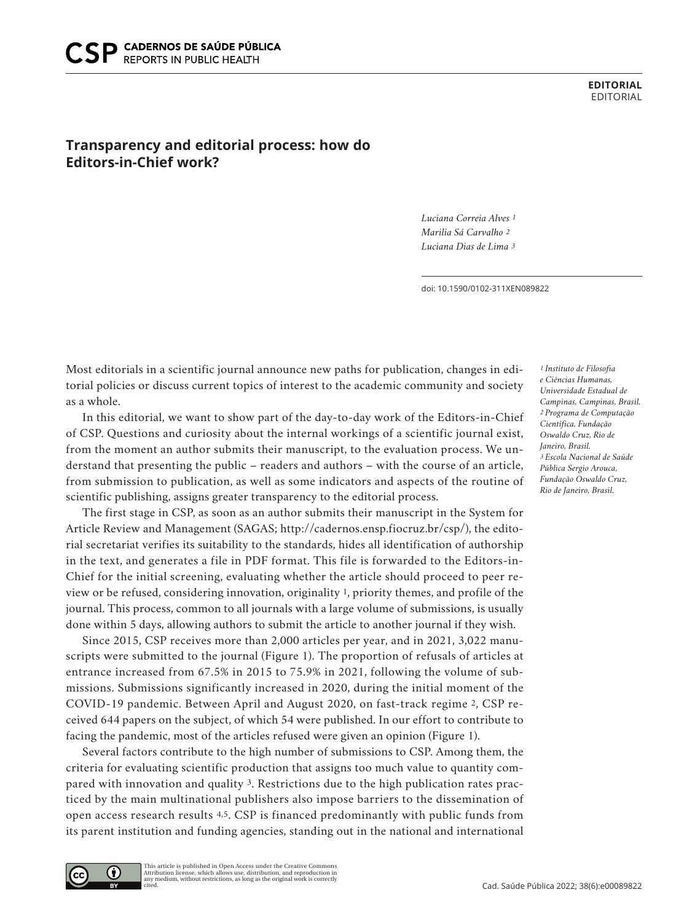**EDITORIAL** EDITORIAL

## **Transparency and editorial process: how do Editors-in-Chief work?**

*Luciana Correia Alves 1 Marilia Sá Carvalho 2 Luciana Dias de Lima 3*

doi: 10.1590/0102-311XEN089822

Most editorials in a scientific journal announce new paths for publication, changes in editorial policies or discuss current topics of interest to the academic community and society as a whole.

In this editorial, we want to show part of the day-to-day work of the Editors-in-Chief of CSP. Questions and curiosity about the internal workings of a scientific journal exist, from the moment an author submits their manuscript, to the evaluation process. We understand that presenting the public – readers and authors – with the course of an article, from submission to publication, as well as some indicators and aspects of the routine of scientific publishing, assigns greater transparency to the editorial process.

The first stage in CSP, as soon as an author submits their manuscript in the System for Article Review and Management (SAGAS; http://cadernos.ensp.fiocruz.br/csp/), the editorial secretariat verifies its suitability to the standards, hides all identification of authorship in the text, and generates a file in PDF format. This file is forwarded to the Editors-in-Chief for the initial screening, evaluating whether the article should proceed to peer review or be refused, considering innovation, originality 1, priority themes, and profile of the journal. This process, common to all journals with a large volume of submissions, is usually done within 5 days, allowing authors to submit the article to another journal if they wish.

Since 2015, CSP receives more than 2,000 articles per year, and in 2021, 3,022 manuscripts were submitted to the journal (Figure 1). The proportion of refusals of articles at entrance increased from 67.5% in 2015 to 75.9% in 2021, following the volume of submissions. Submissions significantly increased in 2020, during the initial moment of the COVID-19 pandemic. Between April and August 2020, on fast-track regime 2, CSP received 644 papers on the subject, of which 54 were published. In our effort to contribute to facing the pandemic, most of the articles refused were given an opinion (Figure 1).

Several factors contribute to the high number of submissions to CSP. Among them, the criteria for evaluating scientific production that assigns too much value to quantity compared with innovation and quality 3. Restrictions due to the high publication rates practiced by the main multinational publishers also impose barriers to the dissemination of open access research results 4,5. CSP is financed predominantly with public funds from its parent institution and funding agencies, standing out in the national and international

*1 Instituto de Filosofia e Ciências Humanas, Universidade Estadual de Campinas, Campinas, Brasil. 2 Programa de Computação Científica, Fundação Oswaldo Cruz, Rio de Janeiro, Brasil. 3 Escola Nacional de Saúde Pública Sergio Arouca, Fundação Oswaldo Cruz, Rio de Janeiro, Brasil.*

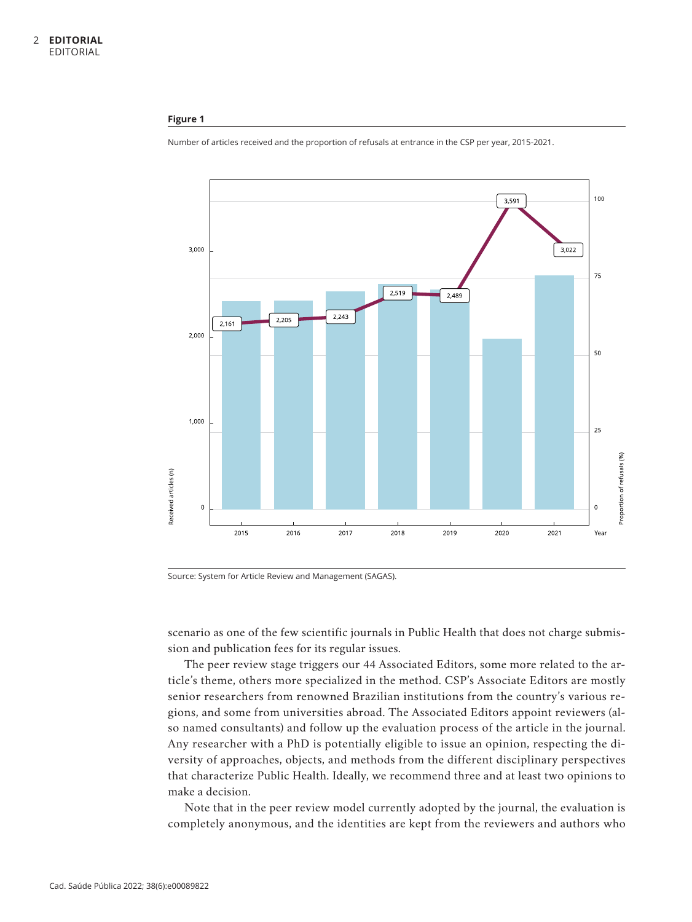## **Figure 1**



Number of articles received and the proportion of refusals at entrance in the CSP per year, 2015-2021.

Source: System for Article Review and Management (SAGAS).

scenario as one of the few scientific journals in Public Health that does not charge submission and publication fees for its regular issues.

The peer review stage triggers our 44 Associated Editors, some more related to the article's theme, others more specialized in the method. CSP's Associate Editors are mostly senior researchers from renowned Brazilian institutions from the country's various regions, and some from universities abroad. The Associated Editors appoint reviewers (also named consultants) and follow up the evaluation process of the article in the journal. Any researcher with a PhD is potentially eligible to issue an opinion, respecting the diversity of approaches, objects, and methods from the different disciplinary perspectives that characterize Public Health. Ideally, we recommend three and at least two opinions to make a decision.

Note that in the peer review model currently adopted by the journal, the evaluation is completely anonymous, and the identities are kept from the reviewers and authors who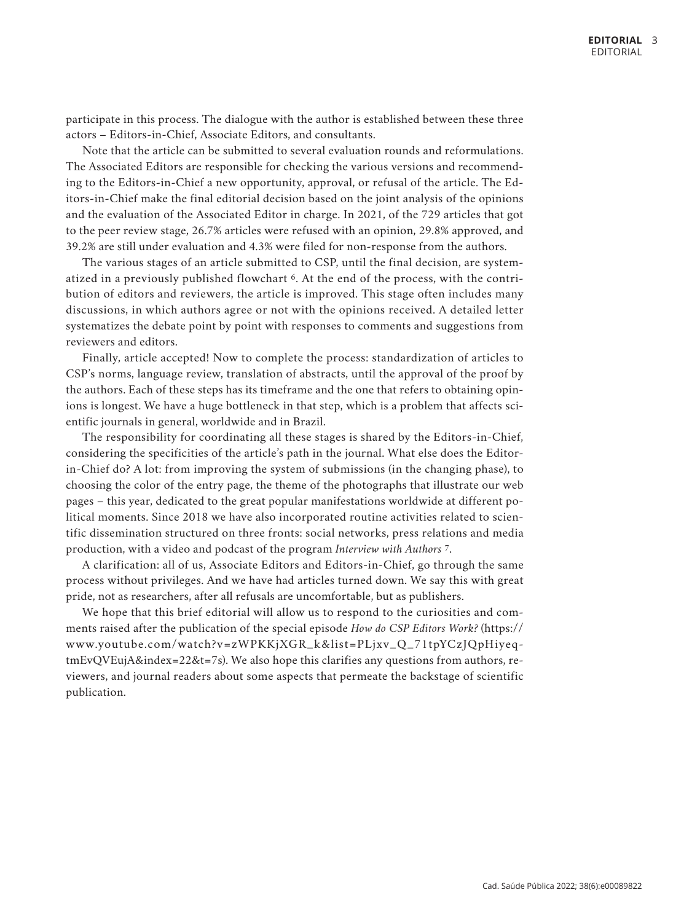participate in this process. The dialogue with the author is established between these three actors – Editors-in-Chief, Associate Editors, and consultants.

Note that the article can be submitted to several evaluation rounds and reformulations. The Associated Editors are responsible for checking the various versions and recommending to the Editors-in-Chief a new opportunity, approval, or refusal of the article. The Editors-in-Chief make the final editorial decision based on the joint analysis of the opinions and the evaluation of the Associated Editor in charge. In 2021, of the 729 articles that got to the peer review stage, 26.7% articles were refused with an opinion, 29.8% approved, and 39.2% are still under evaluation and 4.3% were filed for non-response from the authors.

The various stages of an article submitted to CSP, until the final decision, are systematized in a previously published flowchart 6. At the end of the process, with the contribution of editors and reviewers, the article is improved. This stage often includes many discussions, in which authors agree or not with the opinions received. A detailed letter systematizes the debate point by point with responses to comments and suggestions from reviewers and editors.

Finally, article accepted! Now to complete the process: standardization of articles to CSP's norms, language review, translation of abstracts, until the approval of the proof by the authors. Each of these steps has its timeframe and the one that refers to obtaining opinions is longest. We have a huge bottleneck in that step, which is a problem that affects scientific journals in general, worldwide and in Brazil.

The responsibility for coordinating all these stages is shared by the Editors-in-Chief, considering the specificities of the article's path in the journal. What else does the Editorin-Chief do? A lot: from improving the system of submissions (in the changing phase), to choosing the color of the entry page, the theme of the photographs that illustrate our web pages – this year, dedicated to the great popular manifestations worldwide at different political moments. Since 2018 we have also incorporated routine activities related to scientific dissemination structured on three fronts: social networks, press relations and media production, with a video and podcast of the program *Interview with Authors* 7.

A clarification: all of us, Associate Editors and Editors-in-Chief, go through the same process without privileges. And we have had articles turned down. We say this with great pride, not as researchers, after all refusals are uncomfortable, but as publishers.

We hope that this brief editorial will allow us to respond to the curiosities and comments raised after the publication of the special episode *How do CSP Editors Work?* (https:// www.youtube.com/watch?v=zWPKKjXGR\_k&list=PLjxv\_Q\_71tpYCzJQpHiyeqtmEvQVEujA&index=22&t=7s). We also hope this clarifies any questions from authors, reviewers, and journal readers about some aspects that permeate the backstage of scientific publication.